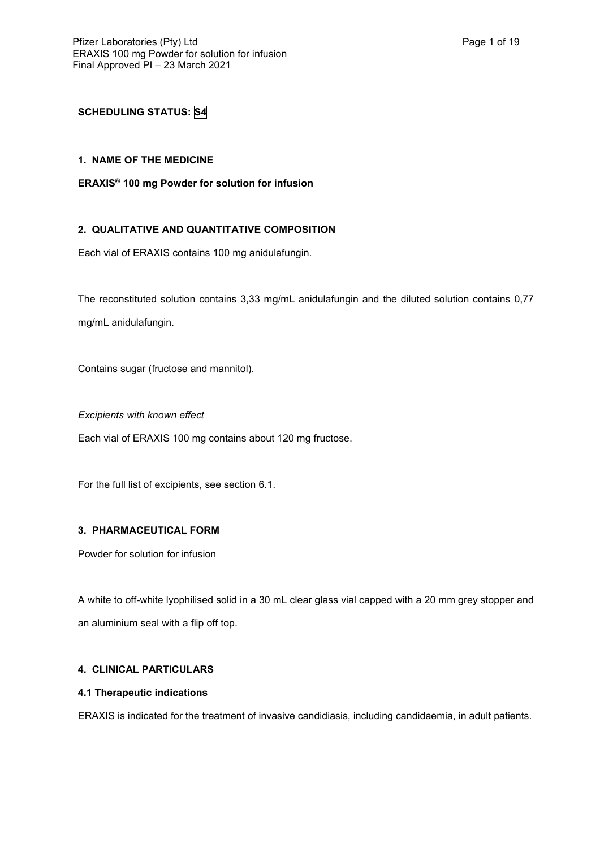# **SCHEDULING STATUS: S4**

# **1. NAME OF THE MEDICINE**

# **ERAXIS® 100 mg Powder for solution for infusion**

# **2. QUALITATIVE AND QUANTITATIVE COMPOSITION**

Each vial of ERAXIS contains 100 mg anidulafungin.

The reconstituted solution contains 3,33 mg/mL anidulafungin and the diluted solution contains 0,77 mg/mL anidulafungin.

Contains sugar (fructose and mannitol).

*Excipients with known effect*

Each vial of ERAXIS 100 mg contains about 120 mg fructose.

For the full list of excipients, see section 6.1.

## **3. PHARMACEUTICAL FORM**

Powder for solution for infusion

A white to off-white lyophilised solid in a 30 mL clear glass vial capped with a 20 mm grey stopper and an aluminium seal with a flip off top.

## **4. CLINICAL PARTICULARS**

## **4.1 Therapeutic indications**

ERAXIS is indicated for the treatment of invasive candidiasis, including candidaemia, in adult patients.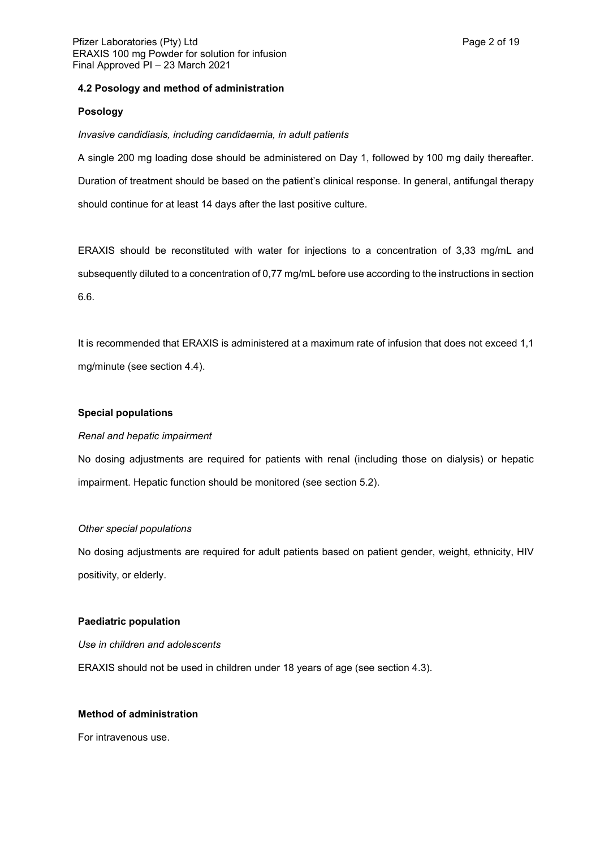## **4.2 Posology and method of administration**

## **Posology**

*Invasive candidiasis, including candidaemia, in adult patients*

A single 200 mg loading dose should be administered on Day 1, followed by 100 mg daily thereafter. Duration of treatment should be based on the patient's clinical response. In general, antifungal therapy should continue for at least 14 days after the last positive culture.

ERAXIS should be reconstituted with water for injections to a concentration of 3,33 mg/mL and subsequently diluted to a concentration of 0,77 mg/mL before use according to the instructions in section 6.6.

It is recommended that ERAXIS is administered at a maximum rate of infusion that does not exceed 1,1 mg/minute (see section 4.4).

## **Special populations**

## *Renal and hepatic impairment*

No dosing adjustments are required for patients with renal (including those on dialysis) or hepatic impairment. Hepatic function should be monitored (see section 5.2).

## *Other special populations*

No dosing adjustments are required for adult patients based on patient gender, weight, ethnicity, HIV positivity, or elderly.

## **Paediatric population**

*Use in children and adolescents* ERAXIS should not be used in children under 18 years of age (see section 4.3).

# **Method of administration**

For intravenous use.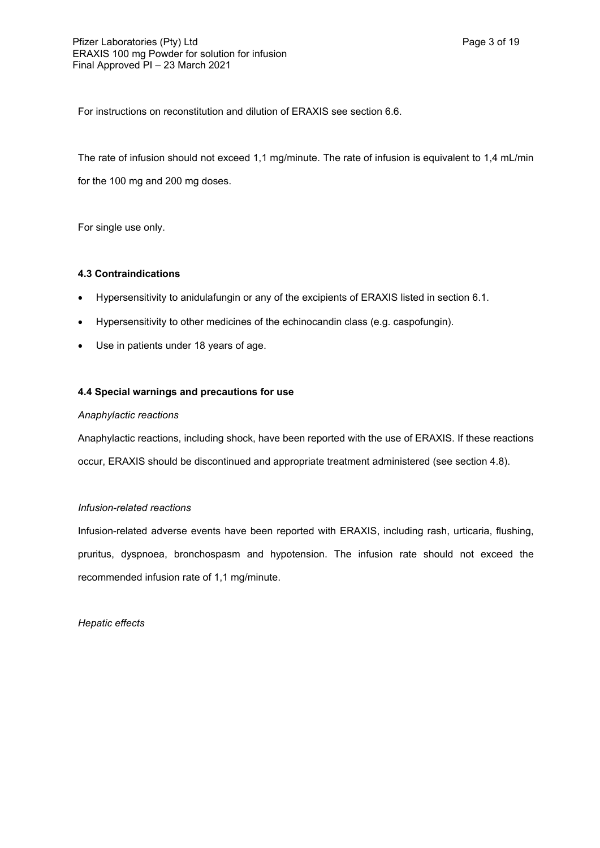For instructions on reconstitution and dilution of ERAXIS see section 6.6.

The rate of infusion should not exceed 1,1 mg/minute. The rate of infusion is equivalent to 1,4 mL/min for the 100 mg and 200 mg doses.

For single use only.

## **4.3 Contraindications**

- Hypersensitivity to anidulafungin or any of the excipients of ERAXIS listed in section 6.1.
- Hypersensitivity to other medicines of the echinocandin class (e.g. caspofungin).
- Use in patients under 18 years of age.

## **4.4 Special warnings and precautions for use**

### *Anaphylactic reactions*

Anaphylactic reactions, including shock, have been reported with the use of ERAXIS. If these reactions occur, ERAXIS should be discontinued and appropriate treatment administered (see section 4.8).

## *Infusion-related reactions*

Infusion-related adverse events have been reported with ERAXIS, including rash, urticaria, flushing, pruritus, dyspnoea, bronchospasm and hypotension. The infusion rate should not exceed the recommended infusion rate of 1,1 mg/minute.

*Hepatic effects*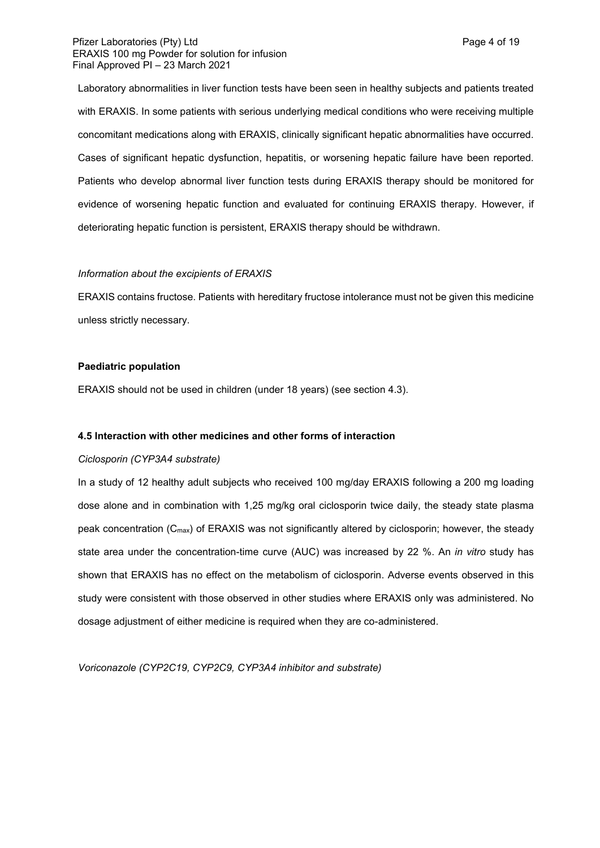### Pfizer Laboratories (Pty) Ltd **Page 4 of 19** Page 4 of 19 ERAXIS 100 mg Powder for solution for infusion Final Approved PI – 23 March 2021

Laboratory abnormalities in liver function tests have been seen in healthy subjects and patients treated with ERAXIS. In some patients with serious underlying medical conditions who were receiving multiple concomitant medications along with ERAXIS, clinically significant hepatic abnormalities have occurred. Cases of significant hepatic dysfunction, hepatitis, or worsening hepatic failure have been reported. Patients who develop abnormal liver function tests during ERAXIS therapy should be monitored for evidence of worsening hepatic function and evaluated for continuing ERAXIS therapy. However, if deteriorating hepatic function is persistent, ERAXIS therapy should be withdrawn.

#### *Information about the excipients of ERAXIS*

ERAXIS contains fructose. Patients with hereditary fructose intolerance must not be given this medicine unless strictly necessary.

### **Paediatric population**

ERAXIS should not be used in children (under 18 years) (see section 4.3).

## **4.5 Interaction with other medicines and other forms of interaction**

#### *Ciclosporin (CYP3A4 substrate)*

In a study of 12 healthy adult subjects who received 100 mg/day ERAXIS following a 200 mg loading dose alone and in combination with 1,25 mg/kg oral ciclosporin twice daily, the steady state plasma peak concentration (Cmax) of ERAXIS was not significantly altered by ciclosporin; however, the steady state area under the concentration-time curve (AUC) was increased by 22 %. An *in vitro* study has shown that ERAXIS has no effect on the metabolism of ciclosporin. Adverse events observed in this study were consistent with those observed in other studies where ERAXIS only was administered. No dosage adjustment of either medicine is required when they are co-administered.

*Voriconazole (CYP2C19, CYP2C9, CYP3A4 inhibitor and substrate)*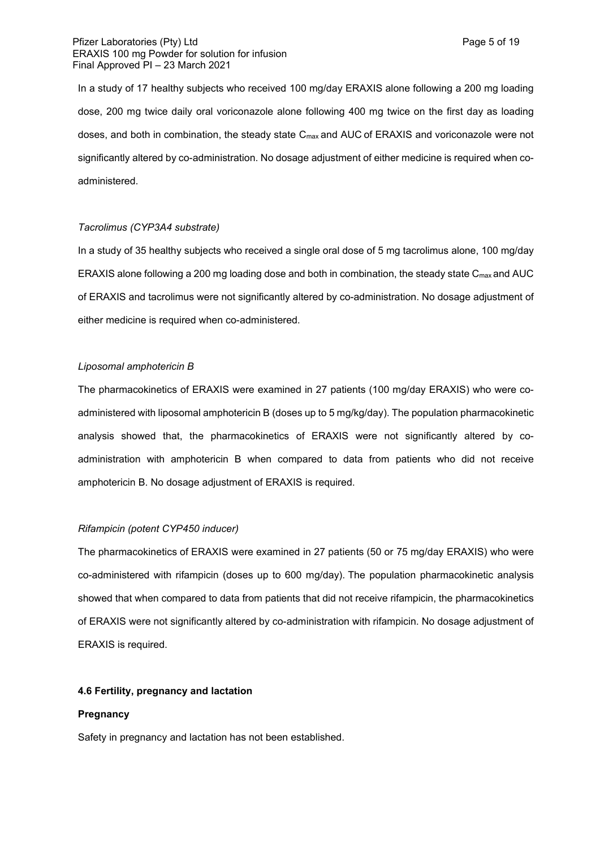In a study of 17 healthy subjects who received 100 mg/day ERAXIS alone following a 200 mg loading dose, 200 mg twice daily oral voriconazole alone following 400 mg twice on the first day as loading doses, and both in combination, the steady state Cmax and AUC of ERAXIS and voriconazole were not significantly altered by co-administration. No dosage adjustment of either medicine is required when coadministered.

## *Tacrolimus (CYP3A4 substrate)*

In a study of 35 healthy subjects who received a single oral dose of 5 mg tacrolimus alone, 100 mg/day ERAXIS alone following a 200 mg loading dose and both in combination, the steady state C<sub>max</sub> and AUC of ERAXIS and tacrolimus were not significantly altered by co-administration. No dosage adjustment of either medicine is required when co-administered.

### *Liposomal amphotericin B*

The pharmacokinetics of ERAXIS were examined in 27 patients (100 mg/day ERAXIS) who were coadministered with liposomal amphotericin B (doses up to 5 mg/kg/day). The population pharmacokinetic analysis showed that, the pharmacokinetics of ERAXIS were not significantly altered by coadministration with amphotericin B when compared to data from patients who did not receive amphotericin B. No dosage adjustment of ERAXIS is required.

## *Rifampicin (potent CYP450 inducer)*

The pharmacokinetics of ERAXIS were examined in 27 patients (50 or 75 mg/day ERAXIS) who were co-administered with rifampicin (doses up to 600 mg/day). The population pharmacokinetic analysis showed that when compared to data from patients that did not receive rifampicin, the pharmacokinetics of ERAXIS were not significantly altered by co-administration with rifampicin. No dosage adjustment of ERAXIS is required.

## **4.6 Fertility, pregnancy and lactation**

### **Pregnancy**

Safety in pregnancy and lactation has not been established.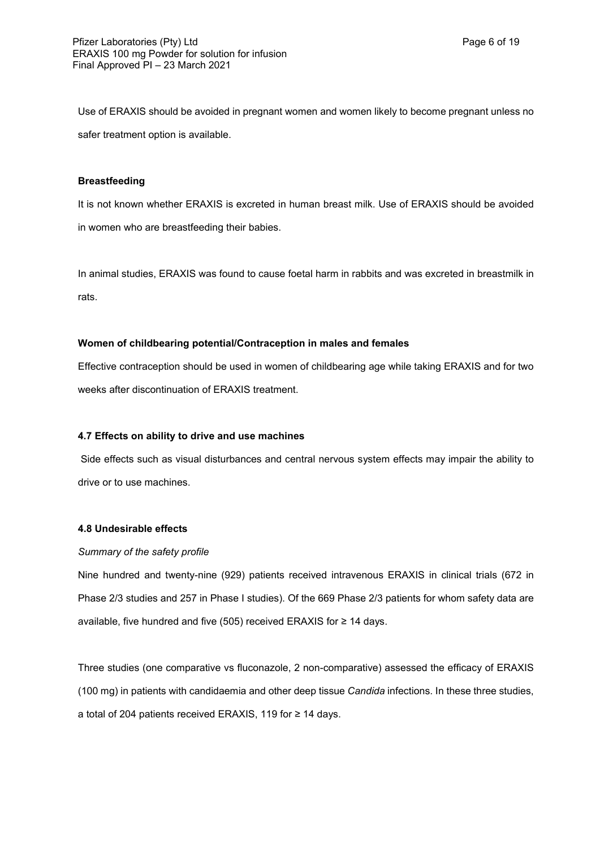Use of ERAXIS should be avoided in pregnant women and women likely to become pregnant unless no safer treatment option is available.

## **Breastfeeding**

It is not known whether ERAXIS is excreted in human breast milk. Use of ERAXIS should be avoided in women who are breastfeeding their babies.

In animal studies, ERAXIS was found to cause foetal harm in rabbits and was excreted in breastmilk in rats.

## **Women of childbearing potential/Contraception in males and females**

Effective contraception should be used in women of childbearing age while taking ERAXIS and for two weeks after discontinuation of ERAXIS treatment.

# **4.7 Effects on ability to drive and use machines**

Side effects such as visual disturbances and central nervous system effects may impair the ability to drive or to use machines.

## **4.8 Undesirable effects**

## *Summary of the safety profile*

Nine hundred and twenty-nine (929) patients received intravenous ERAXIS in clinical trials (672 in Phase 2/3 studies and 257 in Phase I studies). Of the 669 Phase 2/3 patients for whom safety data are available, five hundred and five (505) received ERAXIS for ≥ 14 days.

Three studies (one comparative vs fluconazole, 2 non-comparative) assessed the efficacy of ERAXIS (100 mg) in patients with candidaemia and other deep tissue *Candida* infections. In these three studies, a total of 204 patients received ERAXIS, 119 for ≥ 14 days.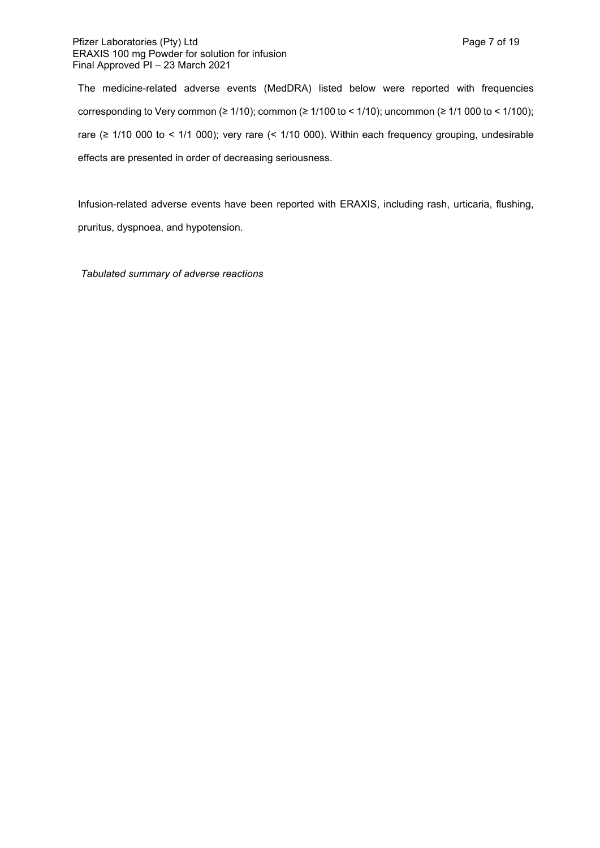### Pfizer Laboratories (Pty) Ltd **Page 7 of 19** and Page 7 of 19 ERAXIS 100 mg Powder for solution for infusion Final Approved PI – 23 March 2021

The medicine-related adverse events (MedDRA) listed below were reported with frequencies corresponding to Very common (≥ 1/10); common (≥ 1/100 to < 1/10); uncommon (≥ 1/1 000 to < 1/100); rare (≥ 1/10 000 to < 1/1 000); very rare (< 1/10 000). Within each frequency grouping, undesirable effects are presented in order of decreasing seriousness.

Infusion-related adverse events have been reported with ERAXIS, including rash, urticaria, flushing, pruritus, dyspnoea, and hypotension.

*Tabulated summary of adverse reactions*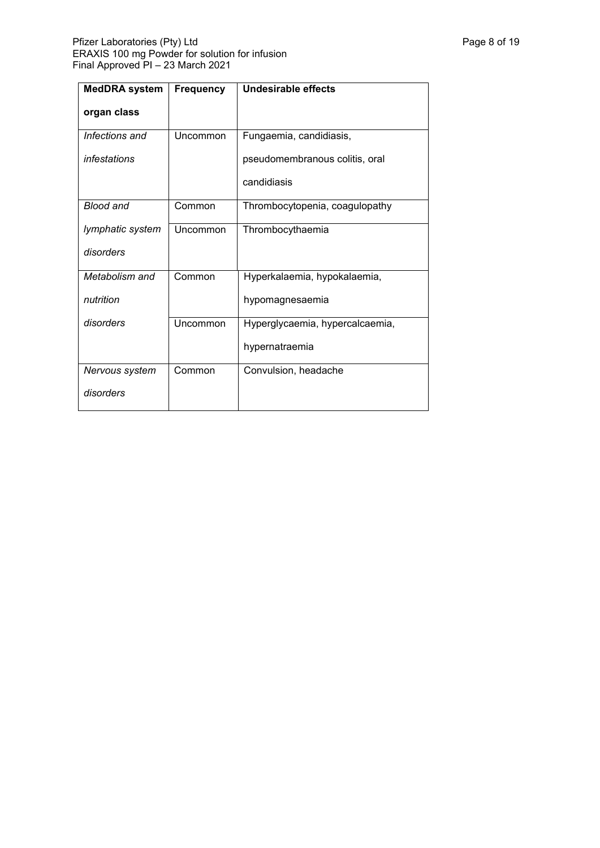| <b>MedDRA</b> system | <b>Frequency</b> | <b>Undesirable effects</b>      |  |  |
|----------------------|------------------|---------------------------------|--|--|
| organ class          |                  |                                 |  |  |
| Infections and       | Uncommon         | Fungaemia, candidiasis,         |  |  |
| infestations         |                  | pseudomembranous colitis, oral  |  |  |
|                      |                  | candidiasis                     |  |  |
| <b>Blood and</b>     | Common           | Thrombocytopenia, coagulopathy  |  |  |
| lymphatic system     | Uncommon         | Thrombocythaemia                |  |  |
| disorders            |                  |                                 |  |  |
| Metabolism and       | Common           | Hyperkalaemia, hypokalaemia,    |  |  |
| nutrition            |                  | hypomagnesaemia                 |  |  |
| disorders            | Uncommon         | Hyperglycaemia, hypercalcaemia, |  |  |
|                      |                  | hypernatraemia                  |  |  |
| Nervous system       | Common           | Convulsion, headache            |  |  |
| disorders            |                  |                                 |  |  |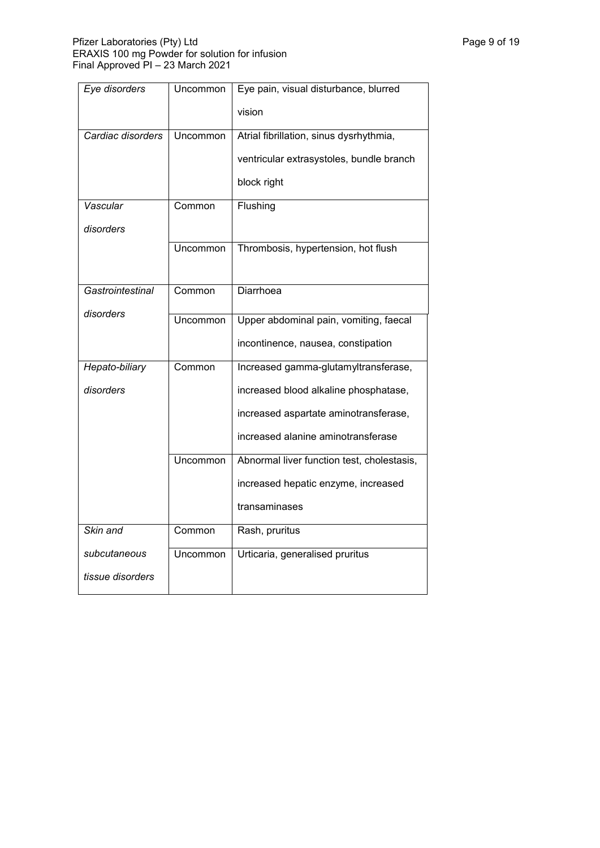| Eye disorders     | Uncommon        | Eye pain, visual disturbance, blurred      |  |  |
|-------------------|-----------------|--------------------------------------------|--|--|
|                   |                 | vision                                     |  |  |
| Cardiac disorders | <b>Uncommon</b> | Atrial fibrillation, sinus dysrhythmia,    |  |  |
|                   |                 | ventricular extrasystoles, bundle branch   |  |  |
|                   |                 | block right                                |  |  |
| Vascular          | Common          | Flushing                                   |  |  |
| disorders         |                 |                                            |  |  |
|                   | Uncommon        | Thrombosis, hypertension, hot flush        |  |  |
|                   |                 |                                            |  |  |
| Gastrointestinal  | Common          | Diarrhoea                                  |  |  |
| disorders         | Uncommon        | Upper abdominal pain, vomiting, faecal     |  |  |
|                   |                 | incontinence, nausea, constipation         |  |  |
|                   |                 |                                            |  |  |
| Hepato-biliary    | Common          | Increased gamma-glutamyltransferase,       |  |  |
| disorders         |                 | increased blood alkaline phosphatase,      |  |  |
|                   |                 | increased aspartate aminotransferase,      |  |  |
|                   |                 | increased alanine aminotransferase         |  |  |
|                   | Uncommon        | Abnormal liver function test, cholestasis, |  |  |
|                   |                 | increased hepatic enzyme, increased        |  |  |
|                   |                 | transaminases                              |  |  |
| Skin and          | Common          | Rash, pruritus                             |  |  |
| subcutaneous      | Uncommon        | Urticaria, generalised pruritus            |  |  |
| tissue disorders  |                 |                                            |  |  |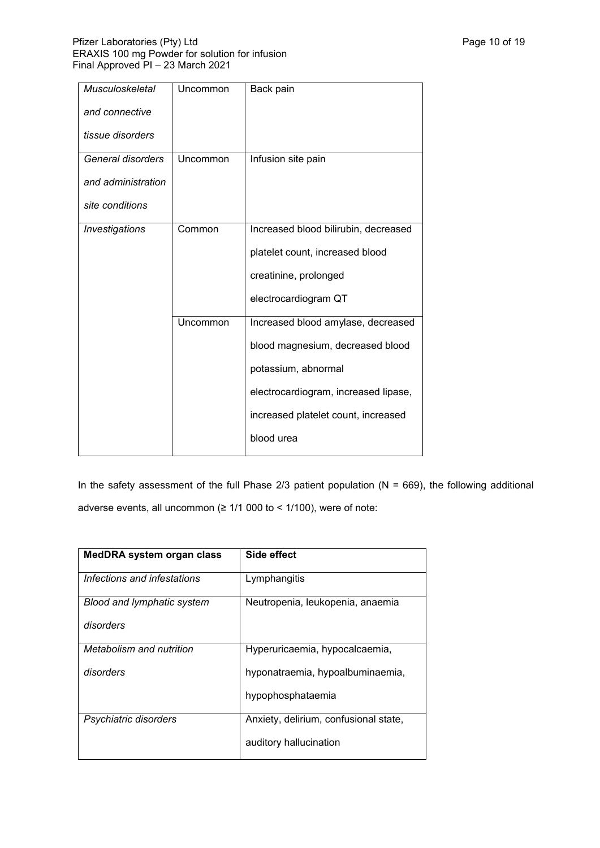| <b>Musculoskeletal</b> | Uncommon | Back pain                            |
|------------------------|----------|--------------------------------------|
| and connective         |          |                                      |
| tissue disorders       |          |                                      |
| General disorders      | Uncommon | Infusion site pain                   |
| and administration     |          |                                      |
| site conditions        |          |                                      |
| <b>Investigations</b>  | Common   | Increased blood bilirubin, decreased |
|                        |          | platelet count, increased blood      |
|                        |          | creatinine, prolonged                |
|                        |          | electrocardiogram QT                 |
|                        | Uncommon | Increased blood amylase, decreased   |
|                        |          | blood magnesium, decreased blood     |
|                        |          | potassium, abnormal                  |
|                        |          | electrocardiogram, increased lipase, |
|                        |          | increased platelet count, increased  |
|                        |          | blood urea                           |

In the safety assessment of the full Phase 2/3 patient population ( $N = 669$ ), the following additional adverse events, all uncommon (≥ 1/1 000 to < 1/100), were of note:

| MedDRA system organ class         | Side effect                           |  |  |
|-----------------------------------|---------------------------------------|--|--|
| Infections and infestations       | Lymphangitis                          |  |  |
| <b>Blood and lymphatic system</b> | Neutropenia, leukopenia, anaemia      |  |  |
| disorders                         |                                       |  |  |
| Metabolism and nutrition          | Hyperuricaemia, hypocalcaemia,        |  |  |
| disorders                         | hyponatraemia, hypoalbuminaemia,      |  |  |
|                                   | hypophosphataemia                     |  |  |
| Psychiatric disorders             | Anxiety, delirium, confusional state, |  |  |
|                                   | auditory hallucination                |  |  |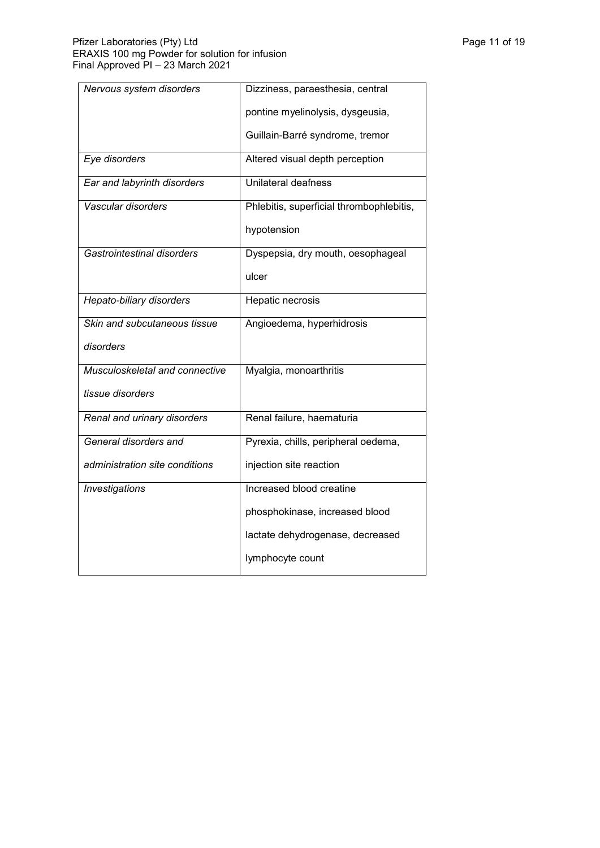| Nervous system disorders       | Dizziness, paraesthesia, central         |  |  |
|--------------------------------|------------------------------------------|--|--|
|                                | pontine myelinolysis, dysgeusia,         |  |  |
|                                | Guillain-Barré syndrome, tremor          |  |  |
| Eye disorders                  | Altered visual depth perception          |  |  |
| Ear and labyrinth disorders    | Unilateral deafness                      |  |  |
| Vascular disorders             | Phlebitis, superficial thrombophlebitis, |  |  |
|                                | hypotension                              |  |  |
| Gastrointestinal disorders     | Dyspepsia, dry mouth, oesophageal        |  |  |
|                                | ulcer                                    |  |  |
| Hepato-biliary disorders       | Hepatic necrosis                         |  |  |
| Skin and subcutaneous tissue   | Angioedema, hyperhidrosis                |  |  |
| disorders                      |                                          |  |  |
| Musculoskeletal and connective | Myalgia, monoarthritis                   |  |  |
| tissue disorders               |                                          |  |  |
| Renal and urinary disorders    | Renal failure, haematuria                |  |  |
| General disorders and          | Pyrexia, chills, peripheral oedema,      |  |  |
| administration site conditions | injection site reaction                  |  |  |
| <b>Investigations</b>          | Increased blood creatine                 |  |  |
|                                | phosphokinase, increased blood           |  |  |
|                                | lactate dehydrogenase, decreased         |  |  |
|                                | lymphocyte count                         |  |  |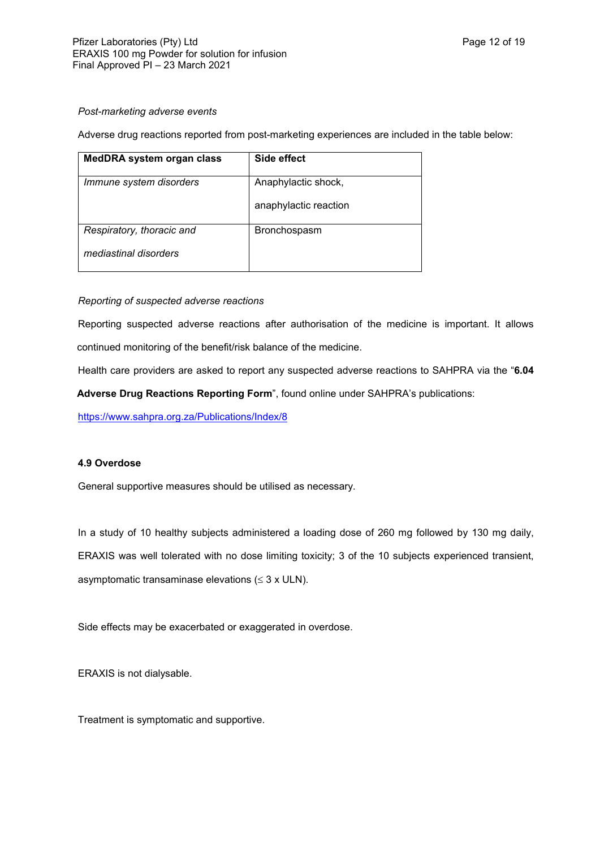## *Post-marketing adverse events*

Adverse drug reactions reported from post-marketing experiences are included in the table below:

| <b>MedDRA system organ class</b> | Side effect           |
|----------------------------------|-----------------------|
| Immune system disorders          | Anaphylactic shock,   |
|                                  | anaphylactic reaction |
| Respiratory, thoracic and        | Bronchospasm          |
| mediastinal disorders            |                       |

# *Reporting of suspected adverse reactions*

Reporting suspected adverse reactions after authorisation of the medicine is important. It allows continued monitoring of the benefit/risk balance of the medicine.

Health care providers are asked to report any suspected adverse reactions to SAHPRA via the "**6.04** 

**Adverse Drug Reactions Reporting Form**", found online under SAHPRA's publications:

<https://www.sahpra.org.za/Publications/Index/8>

# **4.9 Overdose**

General supportive measures should be utilised as necessary.

In a study of 10 healthy subjects administered a loading dose of 260 mg followed by 130 mg daily, ERAXIS was well tolerated with no dose limiting toxicity; 3 of the 10 subjects experienced transient, asymptomatic transaminase elevations ( $\leq$  3 x ULN).

Side effects may be exacerbated or exaggerated in overdose.

ERAXIS is not dialysable.

Treatment is symptomatic and supportive.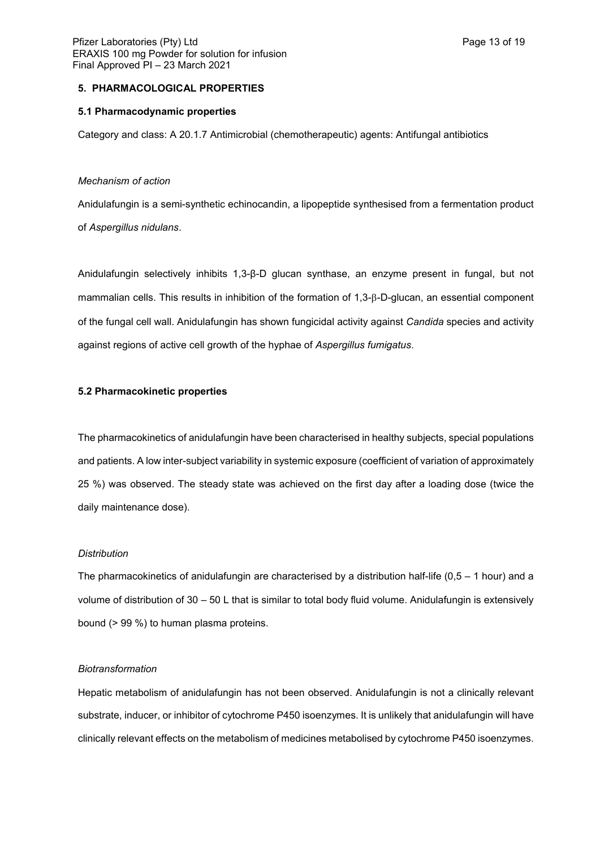# **5. PHARMACOLOGICAL PROPERTIES**

### **5.1 Pharmacodynamic properties**

Category and class: A 20.1.7 Antimicrobial (chemotherapeutic) agents: Antifungal antibiotics

### *Mechanism of action*

Anidulafungin is a semi-synthetic echinocandin, a lipopeptide synthesised from a fermentation product of *Aspergillus nidulans*.

Anidulafungin selectively inhibits 1,3-β-D glucan synthase, an enzyme present in fungal, but not mammalian cells. This results in inhibition of the formation of 1,3- $\beta$ -D-glucan, an essential component of the fungal cell wall. Anidulafungin has shown fungicidal activity against *Candida* species and activity against regions of active cell growth of the hyphae of *Aspergillus fumigatus*.

### **5.2 Pharmacokinetic properties**

The pharmacokinetics of anidulafungin have been characterised in healthy subjects, special populations and patients. A low inter-subject variability in systemic exposure (coefficient of variation of approximately 25 %) was observed. The steady state was achieved on the first day after a loading dose (twice the daily maintenance dose).

#### *Distribution*

The pharmacokinetics of anidulafungin are characterised by a distribution half-life  $(0,5 - 1)$  hour) and a volume of distribution of 30 – 50 L that is similar to total body fluid volume. Anidulafungin is extensively bound (> 99 %) to human plasma proteins.

#### *Biotransformation*

Hepatic metabolism of anidulafungin has not been observed. Anidulafungin is not a clinically relevant substrate, inducer, or inhibitor of cytochrome P450 isoenzymes. It is unlikely that anidulafungin will have clinically relevant effects on the metabolism of medicines metabolised by cytochrome P450 isoenzymes.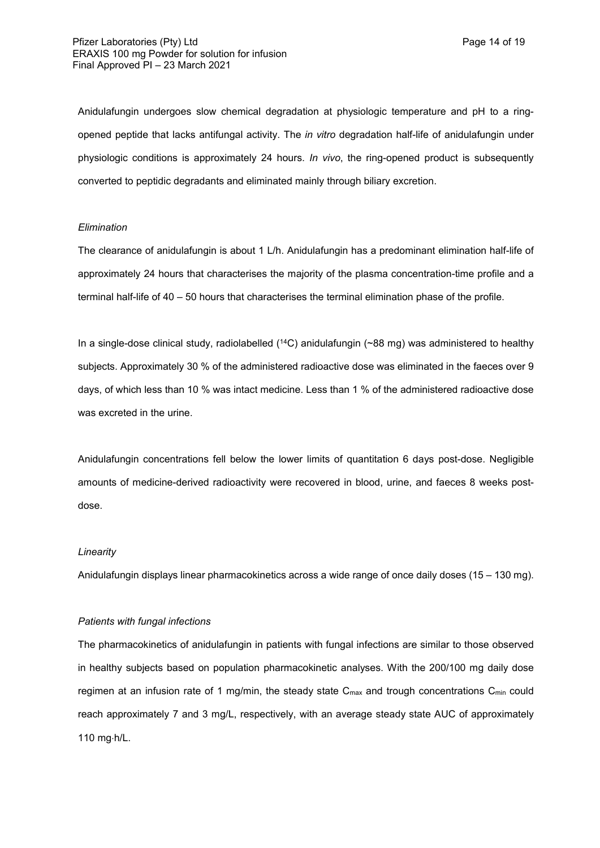Anidulafungin undergoes slow chemical degradation at physiologic temperature and pH to a ringopened peptide that lacks antifungal activity. The *in vitro* degradation half-life of anidulafungin under physiologic conditions is approximately 24 hours. *In vivo*, the ring-opened product is subsequently converted to peptidic degradants and eliminated mainly through biliary excretion.

#### *Elimination*

The clearance of anidulafungin is about 1 L/h. Anidulafungin has a predominant elimination half-life of approximately 24 hours that characterises the majority of the plasma concentration-time profile and a terminal half-life of 40 – 50 hours that characterises the terminal elimination phase of the profile.

In a single-dose clinical study, radiolabelled (<sup>14</sup>C) anidulafungin (~88 mg) was administered to healthy subjects. Approximately 30 % of the administered radioactive dose was eliminated in the faeces over 9 days, of which less than 10 % was intact medicine. Less than 1 % of the administered radioactive dose was excreted in the urine.

Anidulafungin concentrations fell below the lower limits of quantitation 6 days post-dose. Negligible amounts of medicine-derived radioactivity were recovered in blood, urine, and faeces 8 weeks postdose.

### *Linearity*

Anidulafungin displays linear pharmacokinetics across a wide range of once daily doses (15 – 130 mg).

### *Patients with fungal infections*

The pharmacokinetics of anidulafungin in patients with fungal infections are similar to those observed in healthy subjects based on population pharmacokinetic analyses. With the 200/100 mg daily dose regimen at an infusion rate of 1 mg/min, the steady state  $C_{\text{max}}$  and trough concentrations  $C_{\text{min}}$  could reach approximately 7 and 3 mg/L, respectively, with an average steady state AUC of approximately 110 mg·h/L.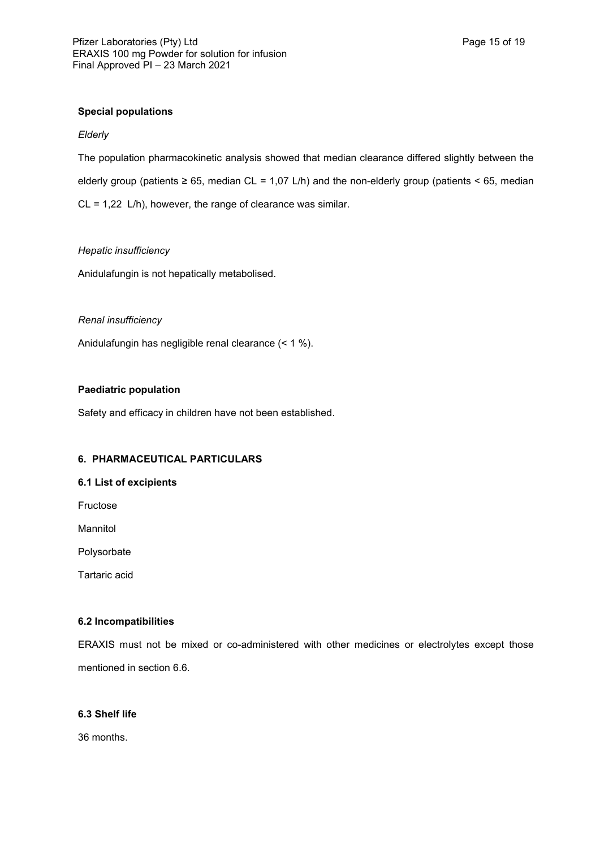## **Special populations**

## *Elderly*

The population pharmacokinetic analysis showed that median clearance differed slightly between the elderly group (patients  $\geq 65$ , median CL = 1,07 L/h) and the non-elderly group (patients < 65, median CL = 1,22 L/h), however, the range of clearance was similar.

## *Hepatic insufficiency*

Anidulafungin is not hepatically metabolised.

## *Renal insufficiency*

Anidulafungin has negligible renal clearance (< 1 %).

## **Paediatric population**

Safety and efficacy in children have not been established.

# **6. PHARMACEUTICAL PARTICULARS**

## **6.1 List of excipients**

Fructose

Mannitol

Polysorbate

Tartaric acid

## **6.2 Incompatibilities**

ERAXIS must not be mixed or co-administered with other medicines or electrolytes except those mentioned in section 6.6.

# **6.3 Shelf life**

36 months.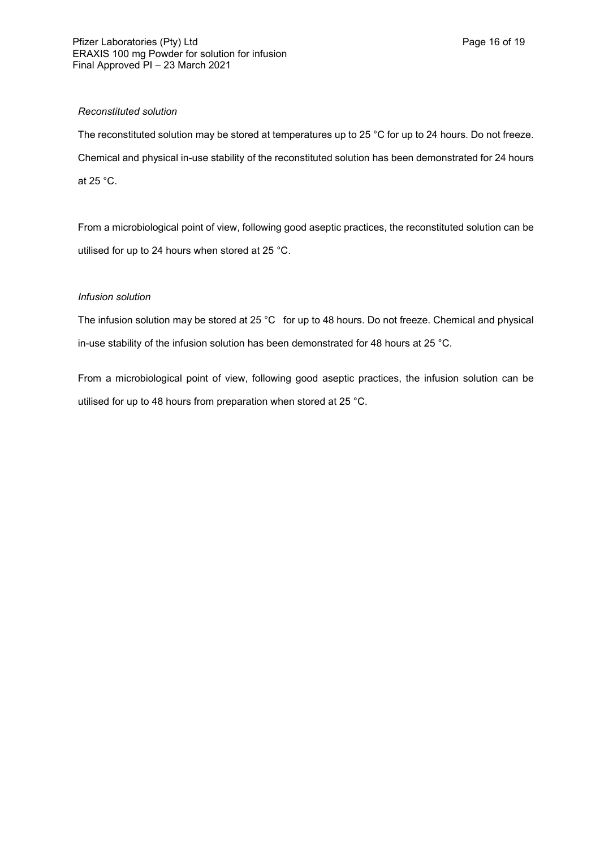## *Reconstituted solution*

The reconstituted solution may be stored at temperatures up to 25 °C for up to 24 hours. Do not freeze. Chemical and physical in-use stability of the reconstituted solution has been demonstrated for 24 hours at 25 °C.

From a microbiological point of view, following good aseptic practices, the reconstituted solution can be utilised for up to 24 hours when stored at 25 °C.

# *Infusion solution*

The infusion solution may be stored at 25 °C for up to 48 hours. Do not freeze. Chemical and physical in-use stability of the infusion solution has been demonstrated for 48 hours at 25 °C.

From a microbiological point of view, following good aseptic practices, the infusion solution can be utilised for up to 48 hours from preparation when stored at 25 °C.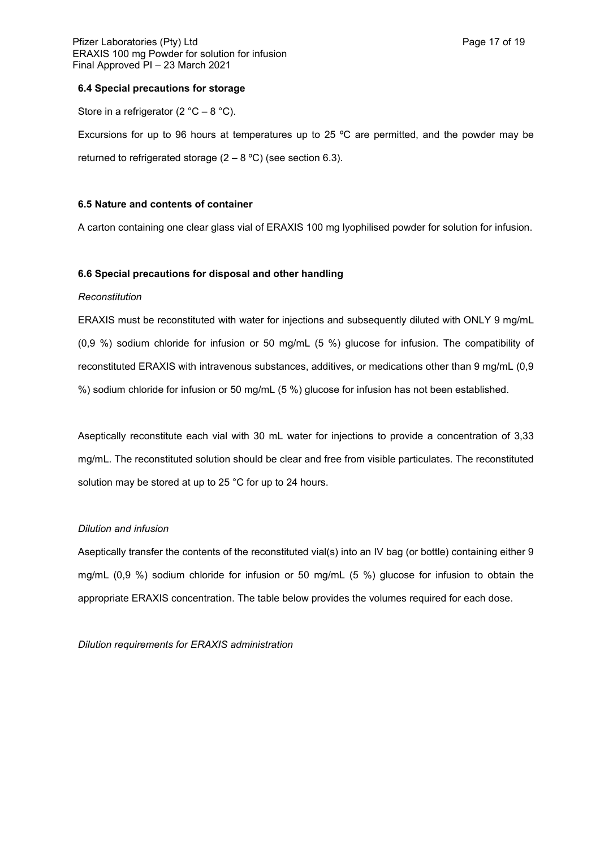## **6.4 Special precautions for storage**

Store in a refrigerator (2  $^{\circ}$ C – 8  $^{\circ}$ C).

Excursions for up to 96 hours at temperatures up to 25 ºC are permitted, and the powder may be returned to refrigerated storage  $(2 - 8 \degree C)$  (see section 6.3).

## **6.5 Nature and contents of container**

A carton containing one clear glass vial of ERAXIS 100 mg lyophilised powder for solution for infusion.

### **6.6 Special precautions for disposal and other handling**

### *Reconstitution*

ERAXIS must be reconstituted with water for injections and subsequently diluted with ONLY 9 mg/mL (0,9 %) sodium chloride for infusion or 50 mg/mL (5 %) glucose for infusion. The compatibility of reconstituted ERAXIS with intravenous substances, additives, or medications other than 9 mg/mL (0,9 %) sodium chloride for infusion or 50 mg/mL (5 %) glucose for infusion has not been established.

Aseptically reconstitute each vial with 30 mL water for injections to provide a concentration of 3,33 mg/mL. The reconstituted solution should be clear and free from visible particulates. The reconstituted solution may be stored at up to 25 °C for up to 24 hours.

#### *Dilution and infusion*

Aseptically transfer the contents of the reconstituted vial(s) into an IV bag (or bottle) containing either 9 mg/mL (0,9 %) sodium chloride for infusion or 50 mg/mL (5 %) glucose for infusion to obtain the appropriate ERAXIS concentration. The table below provides the volumes required for each dose.

*Dilution requirements for ERAXIS administration*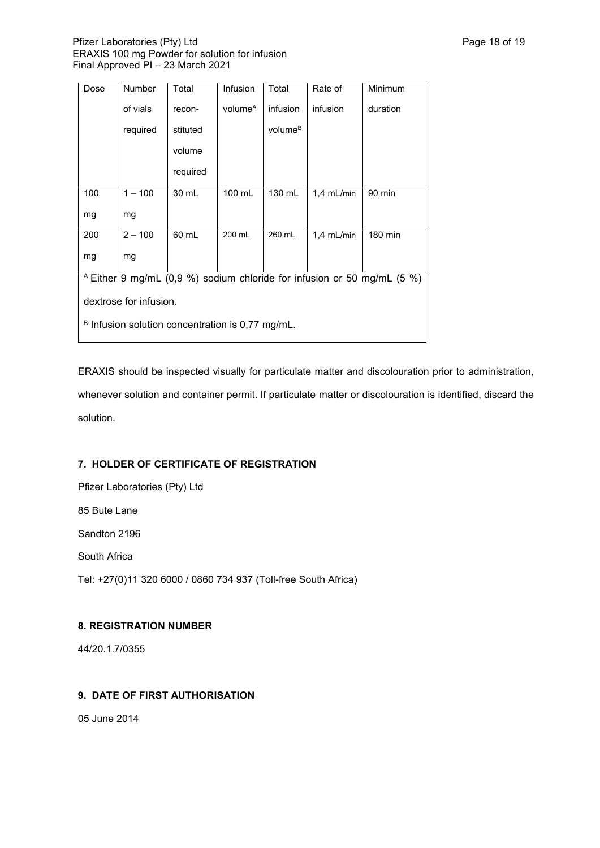## Pfizer Laboratories (Pty) Ltd **Philosopheratories** (Pty) Ltd **Page 18 of 19** ERAXIS 100 mg Powder for solution for infusion Final Approved PI – 23 March 2021

| Dose                                                                               | Number    | Total    | Infusion            | Total               | Rate of      | Minimum  |
|------------------------------------------------------------------------------------|-----------|----------|---------------------|---------------------|--------------|----------|
|                                                                                    | of vials  | recon-   | volume <sup>A</sup> | infusion            | infusion     | duration |
|                                                                                    | required  | stituted |                     | volume <sup>B</sup> |              |          |
|                                                                                    |           | volume   |                     |                     |              |          |
|                                                                                    |           | required |                     |                     |              |          |
| 100                                                                                | $1 - 100$ | 30 mL    | 100 mL              | 130 mL              | $1,4$ mL/min | 90 min   |
| mg                                                                                 | mg        |          |                     |                     |              |          |
| 200                                                                                | $2 - 100$ | 60 mL    | 200 mL              | 260 mL              | $1.4$ mL/min | 180 min  |
| mg                                                                                 | mg        |          |                     |                     |              |          |
| <sup>A</sup> Either 9 mg/mL (0,9 %) sodium chloride for infusion or 50 mg/mL (5 %) |           |          |                     |                     |              |          |
| dextrose for infusion.                                                             |           |          |                     |                     |              |          |
| $B$ Infusion solution concentration is 0,77 mg/mL.                                 |           |          |                     |                     |              |          |

ERAXIS should be inspected visually for particulate matter and discolouration prior to administration, whenever solution and container permit. If particulate matter or discolouration is identified, discard the solution.

# **7. HOLDER OF CERTIFICATE OF REGISTRATION**

Pfizer Laboratories (Pty) Ltd

85 Bute Lane

Sandton 2196

South Africa

Tel: +27(0)11 320 6000 / 0860 734 937 (Toll-free South Africa)

# **8. REGISTRATION NUMBER**

44/20.1.7/0355

# **9. DATE OF FIRST AUTHORISATION**

05 June 2014